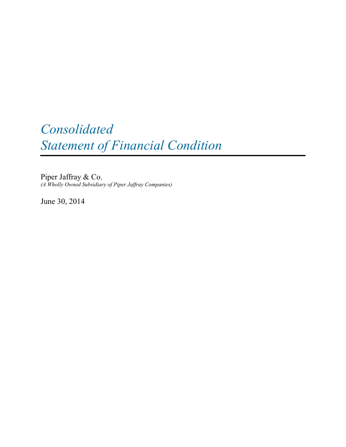# *Consolidated Statement of Financial Condition*

Piper Jaffray & Co. *(A Wholly Owned Subsidiary of Piper Jaffray Companies)*

June 30, 2014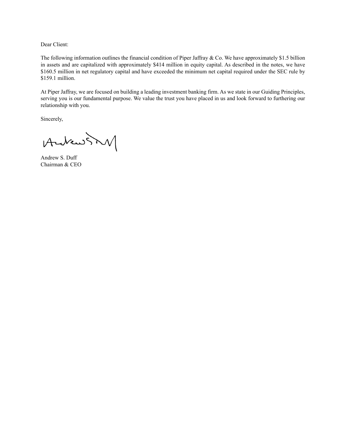Dear Client:

The following information outlines the financial condition of Piper Jaffray  $\&$  Co. We have approximately \$1.5 billion in assets and are capitalized with approximately \$414 million in equity capital. As described in the notes, we have \$160.5 million in net regulatory capital and have exceeded the minimum net capital required under the SEC rule by \$159.1 million.

At Piper Jaffray, we are focused on building a leading investment banking firm. As we state in our Guiding Principles, serving you is our fundamental purpose. We value the trust you have placed in us and look forward to furthering our relationship with you.

Sincerely,

AndrewSM

Andrew S. Duff Chairman & CEO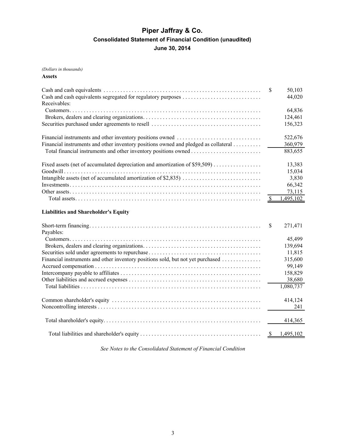# **Piper Jaffray & Co. Consolidated Statement of Financial Condition (unaudited) June 30, 2014**

*(Dollars in thousands)*

**Assets**

|                                                                                     | \$       | 50,103<br>44,020 |
|-------------------------------------------------------------------------------------|----------|------------------|
| Receivables:                                                                        |          |                  |
|                                                                                     |          | 64,836           |
|                                                                                     |          | 124,461          |
|                                                                                     |          | 156,323          |
|                                                                                     |          |                  |
|                                                                                     |          | 522,676          |
| Financial instruments and other inventory positions owned and pledged as collateral |          | 360,979          |
|                                                                                     |          | 883,655          |
|                                                                                     |          |                  |
| Fixed assets (net of accumulated depreciation and amortization of \$59,509)         |          | 13,383           |
|                                                                                     |          | 15,034           |
|                                                                                     |          | 3,830            |
|                                                                                     |          | 66,342           |
|                                                                                     |          | 73,115           |
|                                                                                     |          | 1,495,102        |
|                                                                                     |          |                  |
| <b>Liabilities and Shareholder's Equity</b>                                         |          |                  |
|                                                                                     | <b>S</b> |                  |
|                                                                                     |          | 271,471          |
| Payables:                                                                           |          |                  |
|                                                                                     |          | 45,499           |
|                                                                                     |          | 139,694          |
|                                                                                     |          | 11,815           |
| Financial instruments and other inventory positions sold, but not yet purchased     |          | 315,600          |
|                                                                                     |          | 99,149           |
|                                                                                     |          | 158,829          |
|                                                                                     |          | 38,680           |
|                                                                                     |          | 1,080,737        |

|  | 414.124 |
|--|---------|
|  |         |
|  |         |

*See Notes to the Consolidated Statement of Financial Condition*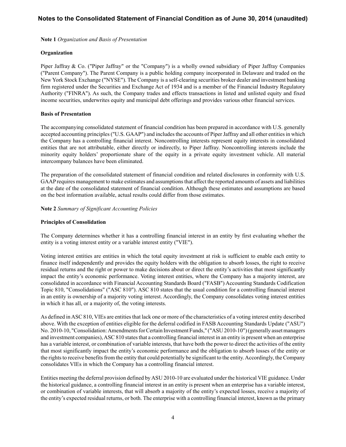**Note 1** *Organization and Basis of Presentation*

### **Organization**

Piper Jaffray & Co. ("Piper Jaffray" or the "Company") is a wholly owned subsidiary of Piper Jaffray Companies ("Parent Company"). The Parent Company is a public holding company incorporated in Delaware and traded on the New York Stock Exchange ("NYSE"). The Company is a self-clearing securities broker dealer and investment banking firm registered under the Securities and Exchange Act of 1934 and is a member of the Financial Industry Regulatory Authority ("FINRA"). As such, the Company trades and effects transactions in listed and unlisted equity and fixed income securities, underwrites equity and municipal debt offerings and provides various other financial services.

### **Basis of Presentation**

The accompanying consolidated statement of financial condition has been prepared in accordance with U.S. generally accepted accounting principles ("U.S. GAAP") and includes the accounts of Piper Jaffray and all other entities in which the Company has a controlling financial interest. Noncontrolling interests represent equity interests in consolidated entities that are not attributable, either directly or indirectly, to Piper Jaffray. Noncontrolling interests include the minority equity holders' proportionate share of the equity in a private equity investment vehicle. All material intercompany balances have been eliminated.

The preparation of the consolidated statement of financial condition and related disclosures in conformity with U.S. GAAPrequires management to make estimates and assumptions that affect the reported amounts of assets and liabilities at the date of the consolidated statement of financial condition. Although these estimates and assumptions are based on the best information available, actual results could differ from those estimates.

**Note 2** *Summary of Significant Accounting Policies*

## **Principles of Consolidation**

The Company determines whether it has a controlling financial interest in an entity by first evaluating whether the entity is a voting interest entity or a variable interest entity ("VIE").

Voting interest entities are entities in which the total equity investment at risk is sufficient to enable each entity to finance itself independently and provides the equity holders with the obligation to absorb losses, the right to receive residual returns and the right or power to make decisions about or direct the entity's activities that most significantly impact the entity's economic performance. Voting interest entities, where the Company has a majority interest, are consolidated in accordance with Financial Accounting Standards Board ("FASB") Accounting Standards Codification Topic 810, "Consolidations" ("ASC 810"). ASC 810 states that the usual condition for a controlling financial interest in an entity is ownership of a majority voting interest. Accordingly, the Company consolidates voting interest entities in which it has all, or a majority of, the voting interests.

As defined in ASC 810, VIEs are entities that lack one or more of the characteristics of a voting interest entity described above. With the exception of entities eligible for the deferral codified in FASB Accounting Standards Update ("ASU") No. 2010-10, "Consolidation: Amendments for Certain Investment Funds," ("ASU 2010-10") (generally asset managers and investment companies), ASC 810 states that a controlling financial interest in an entity is present when an enterprise has a variable interest, or combination of variable interests, that have both the power to direct the activities of the entity that most significantly impact the entity's economic performance and the obligation to absorb losses of the entity or the rights to receive benefits from the entity that could potentially be significant to the entity. Accordingly, the Company consolidates VIEs in which the Company has a controlling financial interest.

Entities meeting the deferral provision defined by ASU 2010-10 are evaluated under the historical VIE guidance. Under the historical guidance, a controlling financial interest in an entity is present when an enterprise has a variable interest, or combination of variable interests, that will absorb a majority of the entity's expected losses, receive a majority of the entity's expected residual returns, or both. The enterprise with a controlling financial interest, known as the primary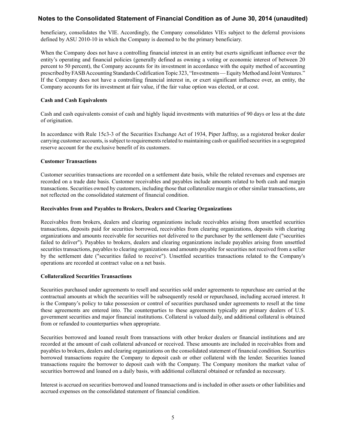beneficiary, consolidates the VIE. Accordingly, the Company consolidates VIEs subject to the deferral provisions defined by ASU 2010-10 in which the Company is deemed to be the primary beneficiary.

When the Company does not have a controlling financial interest in an entity but exerts significant influence over the entity's operating and financial policies (generally defined as owning a voting or economic interest of between 20 percent to 50 percent), the Company accounts for its investment in accordance with the equity method of accounting prescribed by FASB Accounting Standards Codification Topic 323, "Investments — Equity Method and Joint Ventures." If the Company does not have a controlling financial interest in, or exert significant influence over, an entity, the Company accounts for its investment at fair value, if the fair value option was elected, or at cost.

### **Cash and Cash Equivalents**

Cash and cash equivalents consist of cash and highly liquid investments with maturities of 90 days or less at the date of origination.

In accordance with Rule 15c3-3 of the Securities Exchange Act of 1934, Piper Jaffray, as a registered broker dealer carrying customer accounts, is subject to requirements related to maintaining cash or qualified securities in a segregated reserve account for the exclusive benefit of its customers.

### **Customer Transactions**

Customer securities transactions are recorded on a settlement date basis, while the related revenues and expenses are recorded on a trade date basis. Customer receivables and payables include amounts related to both cash and margin transactions. Securities owned by customers, including those that collateralize margin or other similar transactions, are not reflected on the consolidated statement of financial condition.

### **Receivables from and Payables to Brokers, Dealers and Clearing Organizations**

Receivables from brokers, dealers and clearing organizations include receivables arising from unsettled securities transactions, deposits paid for securities borrowed, receivables from clearing organizations, deposits with clearing organizations and amounts receivable for securities not delivered to the purchaser by the settlement date ("securities failed to deliver"). Payables to brokers, dealers and clearing organizations include payables arising from unsettled securities transactions, payables to clearing organizations and amounts payable for securities not received from a seller by the settlement date ("securities failed to receive"). Unsettled securities transactions related to the Company's operations are recorded at contract value on a net basis.

### **Collateralized Securities Transactions**

Securities purchased under agreements to resell and securities sold under agreements to repurchase are carried at the contractual amounts at which the securities will be subsequently resold or repurchased, including accrued interest. It is the Company's policy to take possession or control of securities purchased under agreements to resell at the time these agreements are entered into. The counterparties to these agreements typically are primary dealers of U.S. government securities and major financial institutions. Collateral is valued daily, and additional collateral is obtained from or refunded to counterparties when appropriate.

Securities borrowed and loaned result from transactions with other broker dealers or financial institutions and are recorded at the amount of cash collateral advanced or received. These amounts are included in receivables from and payables to brokers, dealers and clearing organizations on the consolidated statement of financial condition. Securities borrowed transactions require the Company to deposit cash or other collateral with the lender. Securities loaned transactions require the borrower to deposit cash with the Company. The Company monitors the market value of securities borrowed and loaned on a daily basis, with additional collateral obtained or refunded as necessary.

Interest is accrued on securities borrowed and loaned transactions and is included in other assets or other liabilities and accrued expenses on the consolidated statement of financial condition.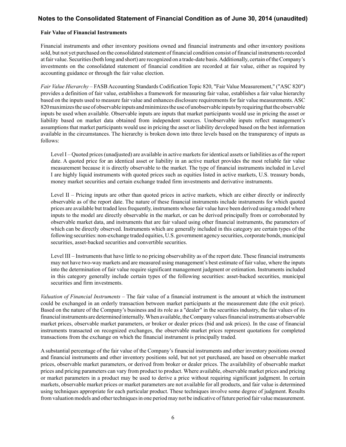#### **Fair Value of Financial Instruments**

Financial instruments and other inventory positions owned and financial instruments and other inventory positions sold, but not yet purchased on the consolidated statement of financial condition consist of financial instruments recorded at fair value. Securities (both long and short) are recognized on a trade-date basis. Additionally, certain of the Company's investments on the consolidated statement of financial condition are recorded at fair value, either as required by accounting guidance or through the fair value election.

*Fair Value Hierarchy* – FASB Accounting Standards Codification Topic 820, "Fair Value Measurement," ("ASC 820") provides a definition of fair value, establishes a framework for measuring fair value, establishes a fair value hierarchy based on the inputs used to measure fair value and enhances disclosure requirements for fair value measurements. ASC 820 maximizes the use of observable inputs and minimizes the use of unobservable inputs by requiring that the observable inputs be used when available. Observable inputs are inputs that market participants would use in pricing the asset or liability based on market data obtained from independent sources. Unobservable inputs reflect management's assumptions that market participants would use in pricing the asset or liability developed based on the best information available in the circumstances. The hierarchy is broken down into three levels based on the transparency of inputs as follows:

Level I – Quoted prices (unadjusted) are available in active markets for identical assets or liabilities as of the report date. A quoted price for an identical asset or liability in an active market provides the most reliable fair value measurement because it is directly observable to the market. The type of financial instruments included in Level I are highly liquid instruments with quoted prices such as equities listed in active markets, U.S. treasury bonds, money market securities and certain exchange traded firm investments and derivative instruments.

Level II – Pricing inputs are other than quoted prices in active markets, which are either directly or indirectly observable as of the report date. The nature of these financial instruments include instruments for which quoted prices are available but traded less frequently, instruments whose fair value have been derived using a model where inputs to the model are directly observable in the market, or can be derived principally from or corroborated by observable market data, and instruments that are fair valued using other financial instruments, the parameters of which can be directly observed. Instruments which are generally included in this category are certain types of the following securities: non-exchange traded equities, U.S. government agency securities, corporate bonds, municipal securities, asset-backed securities and convertible securities.

Level III – Instruments that have little to no pricing observability as of the report date. These financial instruments may not have two-way markets and are measured using management's best estimate of fair value, where the inputs into the determination of fair value require significant management judgment or estimation. Instruments included in this category generally include certain types of the following securities: asset-backed securities, municipal securities and firm investments.

*Valuation of Financial Instruments* – The fair value of a financial instrument is the amount at which the instrument could be exchanged in an orderly transaction between market participants at the measurement date (the exit price). Based on the nature of the Company's business and its role as a "dealer" in the securities industry, the fair values of its financial instruments are determined internally. When available, the Company values financial instruments at observable market prices, observable market parameters, or broker or dealer prices (bid and ask prices). In the case of financial instruments transacted on recognized exchanges, the observable market prices represent quotations for completed transactions from the exchange on which the financial instrument is principally traded.

A substantial percentage of the fair value of the Company's financial instruments and other inventory positions owned and financial instruments and other inventory positions sold, but not yet purchased, are based on observable market prices, observable market parameters, or derived from broker or dealer prices. The availability of observable market prices and pricing parameters can vary from product to product. Where available, observable market prices and pricing or market parameters in a product may be used to derive a price without requiring significant judgment. In certain markets, observable market prices or market parameters are not available for all products, and fair value is determined using techniques appropriate for each particular product. These techniques involve some degree of judgment. Results from valuation models and other techniques in one period may not be indicative of future period fair value measurement.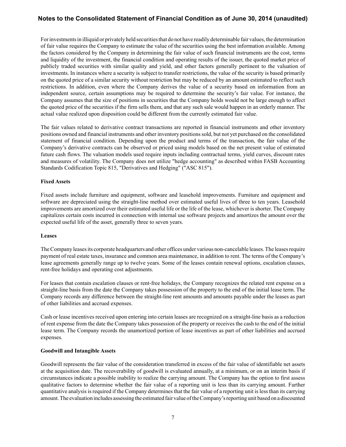For investments in illiquid or privately held securities that do not have readily determinable fair values, the determination of fair value requires the Company to estimate the value of the securities using the best information available. Among the factors considered by the Company in determining the fair value of such financial instruments are the cost, terms and liquidity of the investment, the financial condition and operating results of the issuer, the quoted market price of publicly traded securities with similar quality and yield, and other factors generally pertinent to the valuation of investments. In instances where a security is subject to transfer restrictions, the value of the security is based primarily on the quoted price of a similar security without restriction but may be reduced by an amount estimated to reflect such restrictions. In addition, even where the Company derives the value of a security based on information from an independent source, certain assumptions may be required to determine the security's fair value. For instance, the Company assumes that the size of positions in securities that the Company holds would not be large enough to affect the quoted price of the securities if the firm sells them, and that any such sale would happen in an orderly manner. The actual value realized upon disposition could be different from the currently estimated fair value.

The fair values related to derivative contract transactions are reported in financial instruments and other inventory positions owned and financial instruments and other inventory positions sold, but not yet purchased on the consolidated statement of financial condition. Depending upon the product and terms of the transaction, the fair value of the Company's derivative contracts can be observed or priced using models based on the net present value of estimated future cash flows. The valuation models used require inputs including contractual terms, yield curves, discount rates and measures of volatility. The Company does not utilize "hedge accounting" as described within FASB Accounting Standards Codification Topic 815, "Derivatives and Hedging" ("ASC 815").

### **Fixed Assets**

Fixed assets include furniture and equipment, software and leasehold improvements. Furniture and equipment and software are depreciated using the straight-line method over estimated useful lives of three to ten years. Leasehold improvements are amortized over their estimated useful life or the life of the lease, whichever is shorter. The Company capitalizes certain costs incurred in connection with internal use software projects and amortizes the amount over the expected useful life of the asset, generally three to seven years.

### **Leases**

The Company leases its corporate headquarters and other offices under various non-cancelable leases. The leases require payment of real estate taxes, insurance and common area maintenance, in addition to rent. The terms of the Company's lease agreements generally range up to twelve years. Some of the leases contain renewal options, escalation clauses, rent-free holidays and operating cost adjustments.

For leases that contain escalation clauses or rent-free holidays, the Company recognizes the related rent expense on a straight-line basis from the date the Company takes possession of the property to the end of the initial lease term. The Company records any difference between the straight-line rent amounts and amounts payable under the leases as part of other liabilities and accrued expenses.

Cash or lease incentives received upon entering into certain leases are recognized on a straight-line basis as a reduction of rent expense from the date the Company takes possession of the property or receives the cash to the end of the initial lease term. The Company records the unamortized portion of lease incentives as part of other liabilities and accrued expenses.

### **Goodwill and Intangible Assets**

Goodwill represents the fair value of the consideration transferred in excess of the fair value of identifiable net assets at the acquisition date. The recoverability of goodwill is evaluated annually, at a minimum, or on an interim basis if circumstances indicate a possible inability to realize the carrying amount. The Company has the option to first assess qualitative factors to determine whether the fair value of a reporting unit is less than its carrying amount. Further quantitative analysis is required if the Company determines that the fair value of a reporting unit is less than its carrying amount. The evaluation includes assessing the estimated fair value of the Company's reporting unit based on a discounted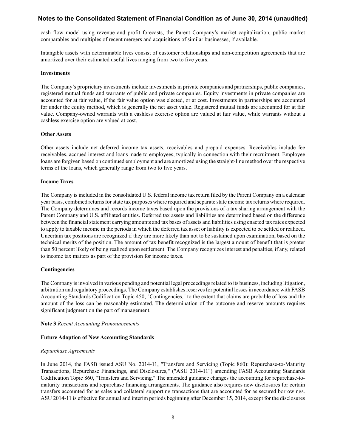cash flow model using revenue and profit forecasts, the Parent Company's market capitalization, public market comparables and multiples of recent mergers and acquisitions of similar businesses, if available.

Intangible assets with determinable lives consist of customer relationships and non-competition agreements that are amortized over their estimated useful lives ranging from two to five years.

#### **Investments**

The Company's proprietary investments include investments in private companies and partnerships, public companies, registered mutual funds and warrants of public and private companies. Equity investments in private companies are accounted for at fair value, if the fair value option was elected, or at cost. Investments in partnerships are accounted for under the equity method, which is generally the net asset value. Registered mutual funds are accounted for at fair value. Company-owned warrants with a cashless exercise option are valued at fair value, while warrants without a cashless exercise option are valued at cost.

#### **Other Assets**

Other assets include net deferred income tax assets, receivables and prepaid expenses. Receivables include fee receivables, accrued interest and loans made to employees, typically in connection with their recruitment. Employee loans are forgiven based on continued employment and are amortized using the straight-line method over the respective terms of the loans, which generally range from two to five years.

#### **Income Taxes**

The Company is included in the consolidated U.S. federal income tax return filed by the Parent Company on a calendar year basis, combined returns for state tax purposes where required and separate state income tax returns where required. The Company determines and records income taxes based upon the provisions of a tax sharing arrangement with the Parent Company and U.S. affiliated entities. Deferred tax assets and liabilities are determined based on the difference between the financial statement carrying amounts and tax bases of assets and liabilities using enacted tax rates expected to apply to taxable income in the periods in which the deferred tax asset or liability is expected to be settled or realized. Uncertain tax positions are recognized if they are more likely than not to be sustained upon examination, based on the technical merits of the position. The amount of tax benefit recognized is the largest amount of benefit that is greater than 50 percent likely of being realized upon settlement. The Company recognizes interest and penalties, if any, related to income tax matters as part of the provision for income taxes.

#### **Contingencies**

The Company is involved in various pending and potential legal proceedings related to its business, including litigation, arbitration and regulatory proceedings. The Company establishes reserves for potential losses in accordance with FASB Accounting Standards Codification Topic 450, "Contingencies," to the extent that claims are probable of loss and the amount of the loss can be reasonably estimated. The determination of the outcome and reserve amounts requires significant judgment on the part of management.

#### **Note 3** *Recent Accounting Pronouncements*

#### **Future Adoption of New Accounting Standards**

#### *Repurchase Agreements*

In June 2014, the FASB issued ASU No. 2014-11, "Transfers and Servicing (Topic 860): Repurchase-to-Maturity Transactions, Repurchase Financings, and Disclosures," ("ASU 2014-11") amending FASB Accounting Standards Codification Topic 860, "Transfers and Servicing." The amended guidance changes the accounting for repurchase-tomaturity transactions and repurchase financing arrangements. The guidance also requires new disclosures for certain transfers accounted for as sales and collateral supporting transactions that are accounted for as secured borrowings. ASU 2014-11 is effective for annual and interim periods beginning after December 15, 2014, except for the disclosures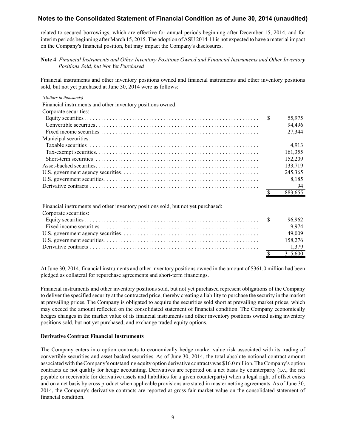related to secured borrowings, which are effective for annual periods beginning after December 15, 2014, and for interim periods beginning after March 15, 2015. The adoption of ASU 2014-11 is not expected to have a material impact on the Company's financial position, but may impact the Company's disclosures.

### **Note 4** *Financial Instruments and Other Inventory Positions Owned and Financial Instruments and Other Inventory Positions Sold, but Not Yet Purchased*

Financial instruments and other inventory positions owned and financial instruments and other inventory positions sold, but not yet purchased at June 30, 2014 were as follows:

#### *(Dollars in thousands)*

| Financial instruments and other inventory positions owned: |         |
|------------------------------------------------------------|---------|
| Corporate securities:                                      |         |
|                                                            | 55,975  |
|                                                            | 94,496  |
|                                                            | 27,344  |
| Municipal securities:                                      |         |
|                                                            | 4,913   |
|                                                            | 161,355 |
|                                                            | 152.209 |
|                                                            | 133,719 |
|                                                            | 245.365 |
|                                                            | 8,185   |
|                                                            | - 94    |
|                                                            | 883 655 |

Financial instruments and other inventory positions sold, but not yet purchased:

| Corporate securities: |         |
|-----------------------|---------|
|                       | 96.962  |
|                       | 9.974   |
|                       | 49,009  |
|                       | 158,276 |
|                       |         |
|                       | 315.600 |

At June 30, 2014, financial instruments and other inventory positions owned in the amount of \$361.0 million had been pledged as collateral for repurchase agreements and short-term financings.

Financial instruments and other inventory positions sold, but not yet purchased represent obligations of the Company to deliver the specified security at the contracted price, thereby creating a liability to purchase the security in the market at prevailing prices. The Company is obligated to acquire the securities sold short at prevailing market prices, which may exceed the amount reflected on the consolidated statement of financial condition. The Company economically hedges changes in the market value of its financial instruments and other inventory positions owned using inventory positions sold, but not yet purchased, and exchange traded equity options.

#### **Derivative Contract Financial Instruments**

The Company enters into option contracts to economically hedge market value risk associated with its trading of convertible securities and asset-backed securities. As of June 30, 2014, the total absolute notional contract amount associated with the Company's outstanding equity option derivative contracts was \$16.0 million. The Company's option contracts do not qualify for hedge accounting. Derivatives are reported on a net basis by counterparty (i.e., the net payable or receivable for derivative assets and liabilities for a given counterparty) when a legal right of offset exists and on a net basis by cross product when applicable provisions are stated in master netting agreements. As of June 30, 2014, the Company's derivative contracts are reported at gross fair market value on the consolidated statement of financial condition.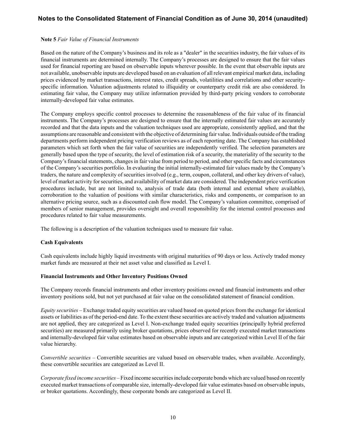### **Note 5** *Fair Value of Financial Instruments*

Based on the nature of the Company's business and its role as a "dealer" in the securities industry, the fair values of its financial instruments are determined internally. The Company's processes are designed to ensure that the fair values used for financial reporting are based on observable inputs wherever possible. In the event that observable inputs are not available, unobservable inputs are developed based on an evaluation of all relevant empirical market data, including prices evidenced by market transactions, interest rates, credit spreads, volatilities and correlations and other securityspecific information. Valuation adjustments related to illiquidity or counterparty credit risk are also considered. In estimating fair value, the Company may utilize information provided by third-party pricing vendors to corroborate internally-developed fair value estimates.

The Company employs specific control processes to determine the reasonableness of the fair value of its financial instruments. The Company's processes are designed to ensure that the internally estimated fair values are accurately recorded and that the data inputs and the valuation techniques used are appropriate, consistently applied, and that the assumptions are reasonable and consistent with the objective of determining fair value. Individuals outside of the trading departments perform independent pricing verification reviews as of each reporting date. The Company has established parameters which set forth when the fair value of securities are independently verified. The selection parameters are generally based upon the type of security, the level of estimation risk of a security, the materiality of the security to the Company's financial statements, changes in fair value from period to period, and other specific facts and circumstances of the Company's securities portfolio. In evaluating the initial internally-estimated fair values made by the Company's traders, the nature and complexity of securities involved (e.g., term, coupon, collateral, and other key drivers of value), level of market activity for securities, and availability of market data are considered. The independent price verification procedures include, but are not limited to, analysis of trade data (both internal and external where available), corroboration to the valuation of positions with similar characteristics, risks and components, or comparison to an alternative pricing source, such as a discounted cash flow model. The Company's valuation committee, comprised of members of senior management, provides oversight and overall responsibility for the internal control processes and procedures related to fair value measurements.

The following is a description of the valuation techniques used to measure fair value.

### **Cash Equivalents**

Cash equivalents include highly liquid investments with original maturities of 90 days or less. Actively traded money market funds are measured at their net asset value and classified as Level I.

### **Financial Instruments and Other Inventory Positions Owned**

The Company records financial instruments and other inventory positions owned and financial instruments and other inventory positions sold, but not yet purchased at fair value on the consolidated statement of financial condition.

*Equity securities –* Exchange traded equity securities are valued based on quoted prices from the exchange for identical assets or liabilities as of the period-end date. To the extent these securities are actively traded and valuation adjustments are not applied, they are categorized as Level I. Non-exchange traded equity securities (principally hybrid preferred securities) are measured primarily using broker quotations, prices observed for recently executed market transactions and internally-developed fair value estimates based on observable inputs and are categorized within Level II of the fair value hierarchy.

*Convertible securities –* Convertible securities are valued based on observable trades, when available. Accordingly, these convertible securities are categorized as Level II.

*Corporate fixed income securities –*Fixed income securities include corporate bonds which are valued based on recently executed market transactions of comparable size, internally-developed fair value estimates based on observable inputs, or broker quotations. Accordingly, these corporate bonds are categorized as Level II.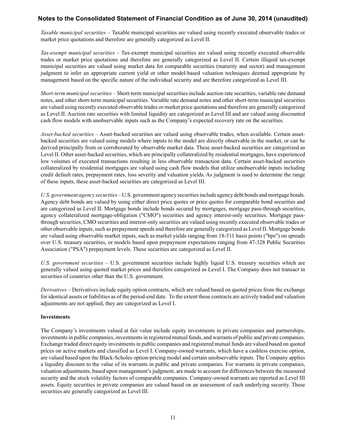*Taxable municipal securities –* Taxable municipal securities are valued using recently executed observable trades or market price quotations and therefore are generally categorized as Level II.

*Tax-exempt municipal securities –* Tax-exempt municipal securities are valued using recently executed observable trades or market price quotations and therefore are generally categorized as Level II. Certain illiquid tax-exempt municipal securities are valued using market data for comparable securities (maturity and sector) and management judgment to infer an appropriate current yield or other model-based valuation techniques deemed appropriate by management based on the specific nature of the individual security and are therefore categorized as Level III.

*Short-term municipal securities –* Short-term municipal securities include auction rate securities, variable rate demand notes, and other short-term municipal securities. Variable rate demand notes and other short-term municipal securities are valued using recently executed observable trades or market price quotations and therefore are generally categorized as Level II. Auction rate securities with limited liquidity are categorized as Level III and are valued using discounted cash flow models with unobservable inputs such as the Company's expected recovery rate on the securities.

*Asset-backed securities –* Asset-backed securities are valued using observable trades, when available. Certain assetbacked securities are valued using models where inputs to the model are directly observable in the market, or can be derived principally from or corroborated by observable market data. These asset-backed securities are categorized as Level II. Other asset-backed securities, which are principally collateralized by residential mortgages, have experienced low volumes of executed transactions resulting in less observable transaction data. Certain asset-backed securities collateralized by residential mortgages are valued using cash flow models that utilize unobservable inputs including credit default rates, prepayment rates, loss severity and valuation yields. As judgment is used to determine the range of these inputs, these asset-backed securities are categorized as Level III.

*U.S. government agency securities –* U.S. government agency securities include agency debt bonds and mortgage bonds. Agency debt bonds are valued by using either direct price quotes or price quotes for comparable bond securities and are categorized as Level II. Mortgage bonds include bonds secured by mortgages, mortgage pass-through securities, agency collateralized mortgage-obligation ("CMO") securities and agency interest-only securities. Mortgage passthrough securities, CMO securities and interest-only securities are valued using recently executed observable trades or other observable inputs, such as prepayment speeds and therefore are generally categorized as Level II. Mortgage bonds are valued using observable market inputs, such as market yields ranging from 18-511 basis points ("bps") on spreads over U.S. treasury securities, or models based upon prepayment expectations ranging from 47-328 Public Securities Association ("PSA") prepayment levels. These securities are categorized as Level II.

*U.S. government securities –* U.S. government securities include highly liquid U.S. treasury securities which are generally valued using quoted market prices and therefore categorized as Level I. The Company does not transact in securities of countries other than the U.S. government.

*Derivatives –* Derivatives include equity option contracts, which are valued based on quoted prices from the exchange for identical assets or liabilities as of the period-end date. To the extent these contracts are actively traded and valuation adjustments are not applied, they are categorized as Level I.

# **Investments**

The Company's investments valued at fair value include equity investments in private companies and partnerships, investments in public companies, investments in registered mutual funds, and warrants of public and private companies. Exchange traded direct equity investments in public companies and registered mutual funds are valued based on quoted prices on active markets and classified as Level I. Company-owned warrants, which have a cashless exercise option, are valued based upon the Black-Scholes option-pricing model and certain unobservable inputs. The Company applies a liquidity discount to the value of its warrants in public and private companies. For warrants in private companies, valuation adjustments, based upon management's judgment, are made to account for differences between the measured security and the stock volatility factors of comparable companies. Company-owned warrants are reported as Level III assets. Equity securities in private companies are valued based on an assessment of each underlying security. These securities are generally categorized as Level III.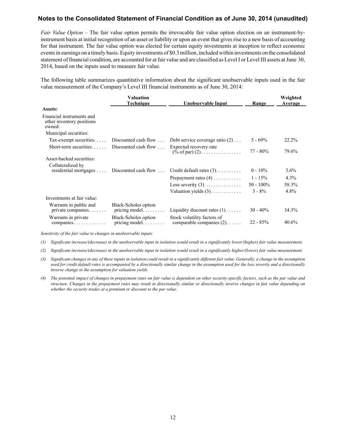*Fair Value Option –* The fair value option permits the irrevocable fair value option election on an instrument-byinstrument basis at initial recognition of an asset or liability or upon an event that gives rise to a new basis of accounting for that instrument. The fair value option was elected for certain equity investments at inception to reflect economic events in earnings on a timely basis. Equity investments of \$0.3 million, included within investments on the consolidated statement of financial condition, are accounted for at fair value and are classified as Level I or Level III assets at June 30, 2014, based on the inputs used to measure fair value.

The following table summarizes quantitative information about the significant unobservable inputs used in the fair value measurement of the Company's Level III financial instruments as of June 30, 2014:

|                                                                  | Valuation<br>Technique                               | Unobservable Input                                                   | Range        | Weighted<br><b>Average</b> |
|------------------------------------------------------------------|------------------------------------------------------|----------------------------------------------------------------------|--------------|----------------------------|
| <b>Assets:</b>                                                   |                                                      |                                                                      |              |                            |
| Financial instruments and<br>other inventory positions<br>owned: |                                                      |                                                                      |              |                            |
| Municipal securities:                                            |                                                      |                                                                      |              |                            |
| Tax-exempt securities. $\dots$                                   |                                                      | Discounted cash flow $\dots$ Debt service coverage ratio (2) $\dots$ | $5 - 69\%$   | 22.2%                      |
| Short-term securities                                            | Discounted cash flow $\dots$                         | Expected recovery rate<br>$(\% \text{ of par}) (2)$                  | $77 - 80\%$  | 79.6%                      |
| Asset-backed securities:                                         |                                                      |                                                                      |              |                            |
| Collateralized by                                                |                                                      |                                                                      |              |                            |
| residential mortgages $\dots$                                    | Discounted cash flow $\ldots$                        | Credit default rates $(3)$                                           | $0 - 10\%$   | $3.6\%$                    |
|                                                                  |                                                      | Prepayment rates $(4)$                                               | $1 - 15\%$   | $4.3\%$                    |
|                                                                  |                                                      | Loss severity $(3)$                                                  | $50 - 100\%$ | 58.3%                      |
|                                                                  |                                                      | Valuation yields $(3)$                                               | $3 - 8\%$    | 4.8%                       |
| Investments at fair value:                                       |                                                      |                                                                      |              |                            |
| Warrants in public and<br>private companies                      | Black-Scholes option<br>pricing model. $\dots \dots$ | Liquidity discount rates $(1)$                                       | $30 - 40\%$  | 34.3%                      |
| Warrants in private<br>$comparies. \ldots \ldots \ldots \ldots$  | Black-Scholes option<br>pricing model                | Stock volatility factors of<br>comparable companies $(2)$            | $22 - 85%$   | 40.6%                      |

*Sensitivity of the fair value to changes in unobservable inputs:*

*(1) Significant increase/(decrease) in the unobservable input in isolation would result in a significantly lower/(higher) fair value measurement.*

*(2) Significant increase/(decrease) in the unobservable input in isolation would result in a significantly higher/(lower) fair value measurement.*

- *(3) Significant changes in any of these inputs in isolation could result in a significantly different fair value. Generally, a change in the assumption*  used for credit default rates is accompanied by a directionally similar change in the assumption used for the loss severity and a directionally *inverse change in the assumption for valuation yields.*
- *(4) The potential impact of changes in prepayment rates on fair value is dependent on other security-specific factors, such as the par value and structure. Changes in the prepayment rates may result in directionally similar or directionally inverse changes in fair value depending on whether the security trades at a premium or discount to the par value.*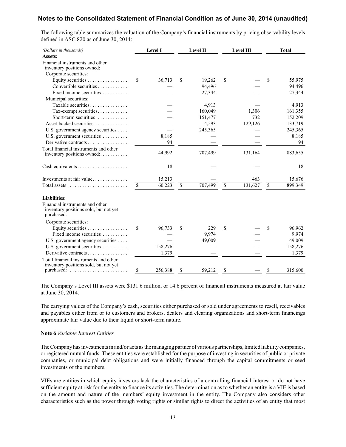The following table summarizes the valuation of the Company's financial instruments by pricing observability levels defined in ASC 820 as of June 30, 2014:

| (Dollars in thousands)                                                                 |                          | Level I |                          | Level II |      | Level III | <b>Total</b>  |
|----------------------------------------------------------------------------------------|--------------------------|---------|--------------------------|----------|------|-----------|---------------|
| Assets:                                                                                |                          |         |                          |          |      |           |               |
| Financial instruments and other<br>inventory positions owned:                          |                          |         |                          |          |      |           |               |
| Corporate securities:                                                                  |                          |         |                          |          |      |           |               |
| Equity securities                                                                      | \$                       | 36,713  | S                        | 19,262   | \$   |           | \$<br>55,975  |
| Convertible securities                                                                 |                          |         |                          | 94,496   |      |           | 94,496        |
| Fixed income securities                                                                |                          |         |                          | 27,344   |      |           | 27,344        |
| Municipal securities:                                                                  |                          |         |                          |          |      |           |               |
| Taxable securities                                                                     |                          |         |                          | 4,913    |      |           | 4,913         |
| Tax-exempt securities.                                                                 |                          |         |                          | 160,049  |      | 1,306     | 161,355       |
| Short-term securities                                                                  |                          |         |                          | 151,477  |      | 732       | 152,209       |
| Asset-backed securities                                                                |                          |         |                          | 4,593    |      | 129,126   | 133,719       |
| U.S. government agency securities                                                      |                          |         |                          | 245,365  |      |           | 245,365       |
| U.S. government securities                                                             |                          | 8,185   |                          |          |      |           | 8,185         |
| Derivative contracts                                                                   |                          | 94      |                          |          |      |           | 94            |
| Total financial instruments and other<br>inventory positions owned:                    |                          | 44,992  |                          | 707,499  |      | 131,164   | 883,655       |
| Cash equivalents                                                                       |                          | 18      |                          |          |      |           | 18            |
| Investments at fair value                                                              |                          | 15,213  |                          |          |      | 463       | 15,676        |
|                                                                                        | $\overline{\mathcal{L}}$ | 60,223  | $\overline{\mathcal{L}}$ | 707,499  | $\$$ | 131,627   | \$<br>899,349 |
| <b>Liabilities:</b>                                                                    |                          |         |                          |          |      |           |               |
| Financial instruments and other<br>inventory positions sold, but not yet<br>purchased: |                          |         |                          |          |      |           |               |
| Corporate securities:                                                                  |                          |         |                          |          |      |           |               |
| Equity securities $\dots \dots \dots \dots$                                            | \$                       | 96,733  | \$                       | 229      | \$   |           | \$<br>96,962  |
| Fixed income securities $\ldots$                                                       |                          |         |                          | 9,974    |      |           | 9,974         |
| U.S. government agency securities                                                      |                          |         |                          | 49,009   |      |           | 49,009        |
| U.S. government securities                                                             |                          | 158,276 |                          |          |      |           | 158,276       |
| Derivative contracts                                                                   |                          | 1,379   |                          |          |      |           | 1,379         |
| Total financial instruments and other<br>inventory positions sold, but not yet         |                          |         |                          |          |      |           |               |
|                                                                                        | \$                       | 256,388 | \$                       | 59,212   | \$   |           | \$<br>315,600 |

The Company's Level III assets were \$131.6 million, or 14.6 percent of financial instruments measured at fair value at June 30, 2014.

The carrying values of the Company's cash, securities either purchased or sold under agreements to resell, receivables and payables either from or to customers and brokers, dealers and clearing organizations and short-term financings approximate fair value due to their liquid or short-term nature.

#### **Note 6** *Variable Interest Entities*

The Company has investments in and/or acts as the managing partner of various partnerships, limited liability companies, or registered mutual funds. These entities were established for the purpose of investing in securities of public or private companies, or municipal debt obligations and were initially financed through the capital commitments or seed investments of the members.

VIEs are entities in which equity investors lack the characteristics of a controlling financial interest or do not have sufficient equity at risk for the entity to finance its activities. The determination as to whether an entity is a VIE is based on the amount and nature of the members' equity investment in the entity. The Company also considers other characteristics such as the power through voting rights or similar rights to direct the activities of an entity that most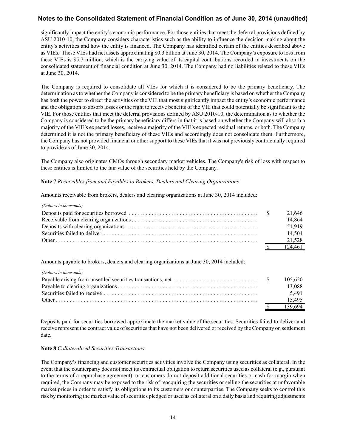significantly impact the entity's economic performance. For those entities that meet the deferral provisions defined by ASU 2010-10, the Company considers characteristics such as the ability to influence the decision making about the entity's activities and how the entity is financed. The Company has identified certain of the entities described above as VIEs. These VIEs had net assets approximating \$0.3 billion at June 30, 2014. The Company's exposure to loss from these VIEs is \$5.7 million, which is the carrying value of its capital contributions recorded in investments on the consolidated statement of financial condition at June 30, 2014. The Company had no liabilities related to these VIEs at June 30, 2014.

The Company is required to consolidate all VIEs for which it is considered to be the primary beneficiary. The determination as to whether the Company is considered to be the primary beneficiary is based on whether the Company has both the power to direct the activities of the VIE that most significantly impact the entity's economic performance and the obligation to absorb losses or the right to receive benefits of the VIE that could potentially be significant to the VIE. For those entities that meet the deferral provisions defined by ASU 2010-10, the determination as to whether the Company is considered to be the primary beneficiary differs in that it is based on whether the Company will absorb a majority of the VIE's expected losses, receive a majority of the VIE's expected residual returns, or both. The Company determined it is not the primary beneficiary of these VIEs and accordingly does not consolidate them. Furthermore, the Company has not provided financial or other support to these VIEs that it was not previously contractually required to provide as of June 30, 2014.

The Company also originates CMOs through secondary market vehicles. The Company's risk of loss with respect to these entities is limited to the fair value of the securities held by the Company.

### **Note 7** *Receivables from and Payables to Brokers, Dealers and Clearing Organizations*

Amounts receivable from brokers, dealers and clearing organizations at June 30, 2014 included:

|  | 21.646  |
|--|---------|
|  | 14.864  |
|  | 51.919  |
|  | 14.504  |
|  | 21,528  |
|  | 124 461 |

Amounts payable to brokers, dealers and clearing organizations at June 30, 2014 included:

| (Dollars in thousands)                                                                                  |         |
|---------------------------------------------------------------------------------------------------------|---------|
| Payable arising from unsettled securities transactions, net $\dots \dots \dots \dots \dots \dots \dots$ | 105.620 |
|                                                                                                         | 13.088  |
|                                                                                                         | 5491    |
|                                                                                                         | 15.495  |
|                                                                                                         | 139.694 |

Deposits paid for securities borrowed approximate the market value of the securities. Securities failed to deliver and receive represent the contract value of securities that have not been delivered or received by the Company on settlement date.

### **Note 8** *Collateralized Securities Transactions*

The Company's financing and customer securities activities involve the Company using securities as collateral. In the event that the counterparty does not meet its contractual obligation to return securities used as collateral (e.g., pursuant to the terms of a repurchase agreement), or customers do not deposit additional securities or cash for margin when required, the Company may be exposed to the risk of reacquiring the securities or selling the securities at unfavorable market prices in order to satisfy its obligations to its customers or counterparties. The Company seeks to control this risk by monitoring the market value of securities pledged or used as collateral on a daily basis and requiring adjustments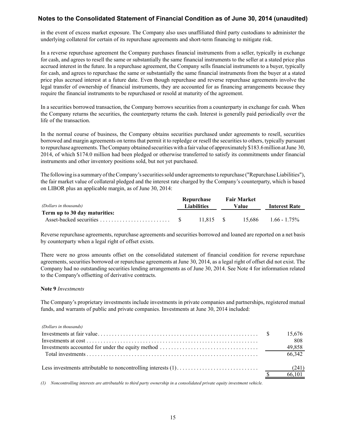in the event of excess market exposure. The Company also uses unaffiliated third party custodians to administer the underlying collateral for certain of its repurchase agreements and short-term financing to mitigate risk.

In a reverse repurchase agreement the Company purchases financial instruments from a seller, typically in exchange for cash, and agrees to resell the same or substantially the same financial instruments to the seller at a stated price plus accrued interest in the future. In a repurchase agreement, the Company sells financial instruments to a buyer, typically for cash, and agrees to repurchase the same or substantially the same financial instruments from the buyer at a stated price plus accrued interest at a future date. Even though repurchase and reverse repurchase agreements involve the legal transfer of ownership of financial instruments, they are accounted for as financing arrangements because they require the financial instruments to be repurchased or resold at maturity of the agreement.

In a securities borrowed transaction, the Company borrows securities from a counterparty in exchange for cash. When the Company returns the securities, the counterparty returns the cash. Interest is generally paid periodically over the life of the transaction.

In the normal course of business, the Company obtains securities purchased under agreements to resell, securities borrowed and margin agreements on terms that permit it to repledge or resell the securities to others, typically pursuant to repurchase agreements. The Company obtained securities with a fair value of approximately \$183.6 million at June 30, 2014, of which \$174.0 million had been pledged or otherwise transferred to satisfy its commitments under financial instruments and other inventory positions sold, but not yet purchased.

The following is a summary of the Company's securities sold under agreements to repurchase ("Repurchase Liabilities"), the fair market value of collateral pledged and the interest rate charged by the Company's counterparty, which is based on LIBOR plus an applicable margin, as of June 30, 2014:

|                               |  | Repurchase |                             | <b>Fair Market</b> |                      |
|-------------------------------|--|------------|-----------------------------|--------------------|----------------------|
| (Dollars in thousands)        |  |            | Value<br><b>Liabilities</b> |                    | <b>Interest Rate</b> |
| Term up to 30 day maturities: |  |            |                             |                    |                      |
|                               |  | 11.815 \$  |                             | 15.686             | $1.66 - 1.75\%$      |

Reverse repurchase agreements, repurchase agreements and securities borrowed and loaned are reported on a net basis by counterparty when a legal right of offset exists.

There were no gross amounts offset on the consolidated statement of financial condition for reverse repurchase agreements, securities borrowed or repurchase agreements at June 30, 2014, as a legal right of offset did not exist. The Company had no outstanding securities lending arrangements as of June 30, 2014. See Note 4 for information related to the Company's offsetting of derivative contracts.

#### **Note 9** *Investments*

The Company's proprietary investments include investments in private companies and partnerships, registered mutual funds, and warrants of public and private companies. Investments at June 30, 2014 included:

| (Dollars in thousands) |        |
|------------------------|--------|
|                        | 15,676 |
|                        | 808    |
|                        | 49,858 |
|                        | 66.342 |
|                        |        |
|                        | 66,101 |
|                        |        |

*(1) Noncontrolling interests are attributable to third party ownership in a consolidated private equity investment vehicle.*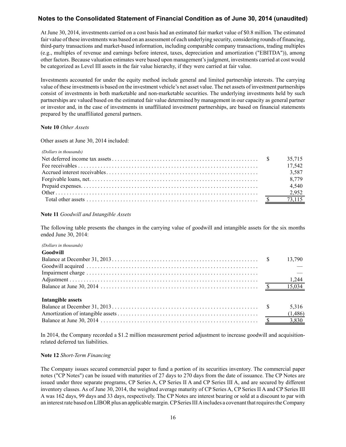At June 30, 2014, investments carried on a cost basis had an estimated fair market value of \$0.8 million. The estimated fair value of these investments was based on an assessment of each underlying security, considering rounds of financing, third-party transactions and market-based information, including comparable company transactions, trading multiples (e.g., multiples of revenue and earnings before interest, taxes, depreciation and amortization ("EBITDA")), among other factors. Because valuation estimates were based upon management's judgment, investments carried at cost would be categorized as Level III assets in the fair value hierarchy, if they were carried at fair value.

Investments accounted for under the equity method include general and limited partnership interests. The carrying value of these investments is based on the investment vehicle's net asset value. The net assets of investment partnerships consist of investments in both marketable and non-marketable securities. The underlying investments held by such partnerships are valued based on the estimated fair value determined by management in our capacity as general partner or investor and, in the case of investments in unaffiliated investment partnerships, are based on financial statements prepared by the unaffiliated general partners.

### **Note 10** *Other Assets*

Other assets at June 30, 2014 included:

|  | 35,715 |
|--|--------|
|  | 17,542 |
|  | 3,587  |
|  | 8,779  |
|  | 4.540  |
|  | 2,952  |
|  |        |

### **Note 11** *Goodwill and Intangible Assets*

The following table presents the changes in the carrying value of goodwill and intangible assets for the six months ended June 30, 2014:

#### *(Dollars in thousands)*

#### **Goodwill**

| 5,316   |
|---------|
| (1,486) |
|         |
|         |

In 2014, the Company recorded a \$1.2 million measurement period adjustment to increase goodwill and acquisitionrelated deferred tax liabilities.

#### **Note 12** *Short-Term Financing*

The Company issues secured commercial paper to fund a portion of its securities inventory. The commercial paper notes ("CP Notes") can be issued with maturities of 27 days to 270 days from the date of issuance. The CP Notes are issued under three separate programs, CP Series A, CP Series II A and CP Series III A, and are secured by different inventory classes. As of June 30, 2014, the weighted average maturity of CP Series A, CP Series II A and CP Series III A was 162 days, 99 days and 33 days, respectively. The CP Notes are interest bearing or sold at a discount to par with an interest rate based on LIBOR plus an applicable margin. CPSeries III Aincludes a covenant that requires the Company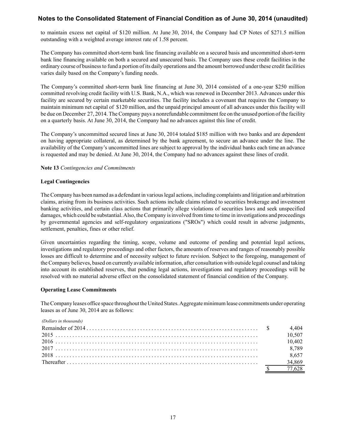to maintain excess net capital of \$120 million. At June 30, 2014, the Company had CP Notes of \$271.5 million outstanding with a weighted average interest rate of 1.58 percent.

The Company has committed short-term bank line financing available on a secured basis and uncommitted short-term bank line financing available on both a secured and unsecured basis. The Company uses these credit facilities in the ordinary course of business to fund a portion of its daily operations and the amount borrowed under these credit facilities varies daily based on the Company's funding needs.

The Company's committed short-term bank line financing at June 30, 2014 consisted of a one-year \$250 million committed revolving credit facility with U.S. Bank, N.A., which was renewed in December 2013. Advances under this facility are secured by certain marketable securities. The facility includes a covenant that requires the Company to maintain minimum net capital of \$120 million, and the unpaid principal amount of all advances under this facility will be due on December 27, 2014. The Company pays a nonrefundable commitment fee on the unused portion of the facility on a quarterly basis. At June 30, 2014, the Company had no advances against this line of credit.

The Company's uncommitted secured lines at June 30, 2014 totaled \$185 million with two banks and are dependent on having appropriate collateral, as determined by the bank agreement, to secure an advance under the line. The availability of the Company's uncommitted lines are subject to approval by the individual banks each time an advance is requested and may be denied. At June 30, 2014, the Company had no advances against these lines of credit.

**Note 13** *Contingencies and Commitments*

### **Legal Contingencies**

The Company has been named as a defendant in various legal actions, including complaints and litigation and arbitration claims, arising from its business activities. Such actions include claims related to securities brokerage and investment banking activities, and certain class actions that primarily allege violations of securities laws and seek unspecified damages, which could be substantial. Also, the Company is involved from time to time in investigations and proceedings by governmental agencies and self-regulatory organizations ("SROs") which could result in adverse judgments, settlement, penalties, fines or other relief.

Given uncertainties regarding the timing, scope, volume and outcome of pending and potential legal actions, investigations and regulatory proceedings and other factors, the amounts of reserves and ranges of reasonably possible losses are difficult to determine and of necessity subject to future revision. Subject to the foregoing, management of the Company believes, based on currently available information, after consultation with outside legal counsel and taking into account its established reserves, that pending legal actions, investigations and regulatory proceedings will be resolved with no material adverse effect on the consolidated statement of financial condition of the Company.

# **Operating Lease Commitments**

The Company leases office space throughout the United States. Aggregate minimum lease commitments under operating leases as of June 30, 2014 are as follows:

| (Dollars in thousands) |        |
|------------------------|--------|
|                        | 4,404  |
|                        | 10,507 |
|                        | 10.402 |
|                        | 8,789  |
|                        | 8,657  |
|                        | 34.869 |
|                        | 77.628 |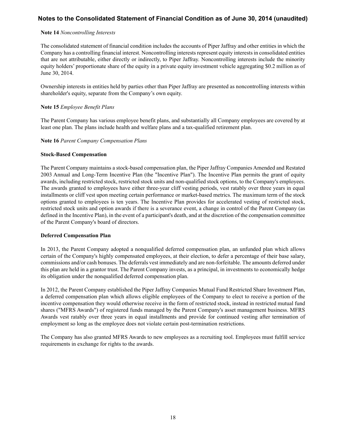### **Note 14** *Noncontrolling Interests*

The consolidated statement of financial condition includes the accounts of Piper Jaffray and other entities in which the Company has a controlling financial interest. Noncontrolling interests represent equity interests in consolidated entities that are not attributable, either directly or indirectly, to Piper Jaffray. Noncontrolling interests include the minority equity holders' proportionate share of the equity in a private equity investment vehicle aggregating \$0.2 million as of June 30, 2014.

Ownership interests in entities held by parties other than Piper Jaffray are presented as noncontrolling interests within shareholder's equity, separate from the Company's own equity.

### **Note 15** *Employee Benefit Plans*

The Parent Company has various employee benefit plans, and substantially all Company employees are covered by at least one plan. The plans include health and welfare plans and a tax-qualified retirement plan.

### **Note 16** *Parent Company Compensation Plans*

### **Stock-Based Compensation**

The Parent Company maintains a stock-based compensation plan, the Piper Jaffray Companies Amended and Restated 2003 Annual and Long-Term Incentive Plan (the "Incentive Plan"). The Incentive Plan permits the grant of equity awards, including restricted stock, restricted stock units and non-qualified stock options, to the Company's employees. The awards granted to employees have either three-year cliff vesting periods, vest ratably over three years in equal installments or cliff vest upon meeting certain performance or market-based metrics. The maximum term of the stock options granted to employees is ten years. The Incentive Plan provides for accelerated vesting of restricted stock, restricted stock units and option awards if there is a severance event, a change in control of the Parent Company (as defined in the Incentive Plan), in the event of a participant's death, and at the discretion of the compensation committee of the Parent Company's board of directors.

### **Deferred Compensation Plan**

In 2013, the Parent Company adopted a nonqualified deferred compensation plan, an unfunded plan which allows certain of the Company's highly compensated employees, at their election, to defer a percentage of their base salary, commissions and/or cash bonuses. The deferrals vest immediately and are non-forfeitable. The amounts deferred under this plan are held in a grantor trust. The Parent Company invests, as a principal, in investments to economically hedge its obligation under the nonqualified deferred compensation plan.

In 2012, the Parent Company established the Piper Jaffray Companies Mutual Fund Restricted Share Investment Plan, a deferred compensation plan which allows eligible employees of the Company to elect to receive a portion of the incentive compensation they would otherwise receive in the form of restricted stock, instead in restricted mutual fund shares ("MFRS Awards") of registered funds managed by the Parent Company's asset management business. MFRS Awards vest ratably over three years in equal installments and provide for continued vesting after termination of employment so long as the employee does not violate certain post-termination restrictions.

The Company has also granted MFRS Awards to new employees as a recruiting tool. Employees must fulfill service requirements in exchange for rights to the awards.